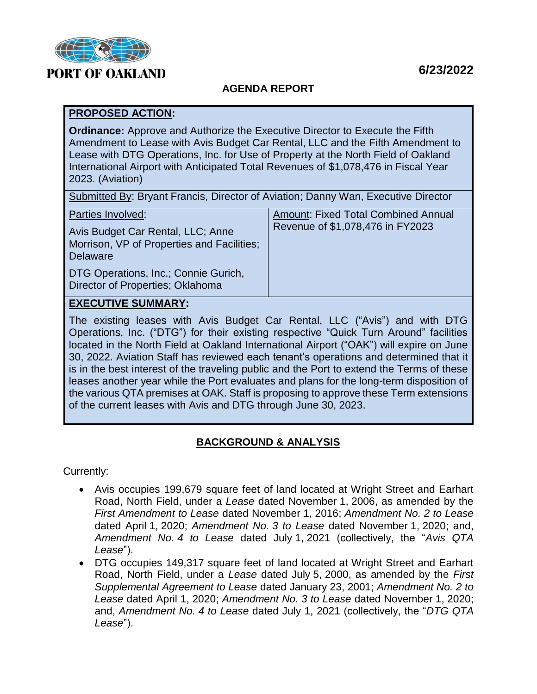

# **PORT OF OAKLAND**

#### **AGENDA REPORT**

#### **PROPOSED ACTION:**

**Ordinance:** Approve and Authorize the Executive Director to Execute the Fifth Amendment to Lease with Avis Budget Car Rental, LLC and the Fifth Amendment to Lease with DTG Operations, Inc. for Use of Property at the North Field of Oakland International Airport with Anticipated Total Revenues of \$1,078,476 in Fiscal Year 2023. (Aviation)

|  | Submitted By: Bryant Francis, Director of Aviation; Danny Wan, Executive Director |  |  |
|--|-----------------------------------------------------------------------------------|--|--|
|--|-----------------------------------------------------------------------------------|--|--|

| Parties Involved:<br>Avis Budget Car Rental, LLC; Anne<br>Morrison, VP of Properties and Facilities;<br><b>Delaware</b> | <b>Amount: Fixed Total Combined Annual</b><br>Revenue of \$1,078,476 in FY2023 |
|-------------------------------------------------------------------------------------------------------------------------|--------------------------------------------------------------------------------|
| DTG Operations, Inc.; Connie Gurich,<br>Director of Properties; Oklahoma                                                |                                                                                |

#### **EXECUTIVE SUMMARY:**

The existing leases with Avis Budget Car Rental, LLC ("Avis") and with DTG Operations, Inc. ("DTG") for their existing respective "Quick Turn Around" facilities located in the North Field at Oakland International Airport ("OAK") will expire on June 30, 2022. Aviation Staff has reviewed each tenant's operations and determined that it is in the best interest of the traveling public and the Port to extend the Terms of these leases another year while the Port evaluates and plans for the long-term disposition of the various QTA premises at OAK. Staff is proposing to approve these Term extensions of the current leases with Avis and DTG through June 30, 2023.

### **BACKGROUND & ANALYSIS**

Currently:

- Avis occupies 199,679 square feet of land located at Wright Street and Earhart Road, North Field, under a *Lease* dated November 1, 2006, as amended by the *First Amendment to Lease* dated November 1, 2016; *Amendment No. 2 to Lease* dated April 1, 2020; *Amendment No. 3 to Lease* dated November 1, 2020; and, *Amendment No. 4 to Lease* dated July 1, 2021 (collectively, the "*Avis QTA Lease*").
- DTG occupies 149,317 square feet of land located at Wright Street and Earhart Road, North Field, under a *Lease* dated July 5, 2000, as amended by the *First Supplemental Agreement to Lease* dated January 23, 2001; *Amendment No. 2 to Lease* dated April 1, 2020; *Amendment No. 3 to Lease* dated November 1, 2020; and, *Amendment No. 4 to Lease* dated July 1, 2021 (collectively, the "*DTG QTA Lease*").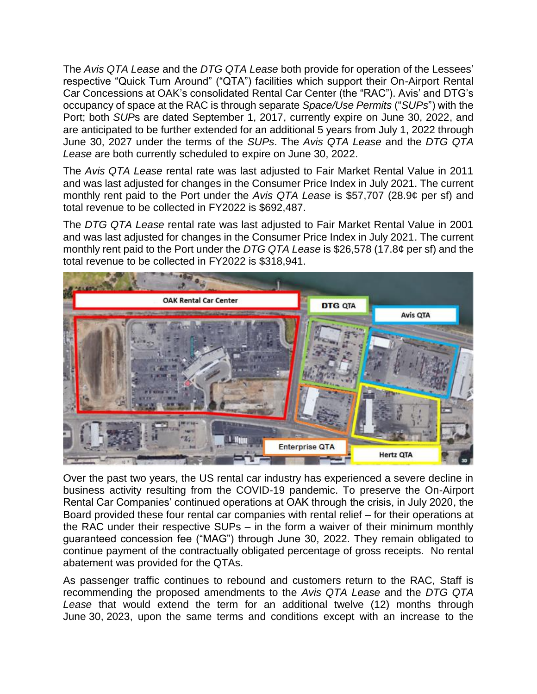The *Avis QTA Lease* and the *DTG QTA Lease* both provide for operation of the Lessees' respective "Quick Turn Around" ("QTA") facilities which support their On-Airport Rental Car Concessions at OAK's consolidated Rental Car Center (the "RAC"). Avis' and DTG's occupancy of space at the RAC is through separate *Space/Use Permits* ("*SUPs*") with the Port; both *SUP*s are dated September 1, 2017, currently expire on June 30, 2022, and are anticipated to be further extended for an additional 5 years from July 1, 2022 through June 30, 2027 under the terms of the *SUPs*. The *Avis QTA Lease* and the *DTG QTA Lease* are both currently scheduled to expire on June 30, 2022.

The *Avis QTA Lease* rental rate was last adjusted to Fair Market Rental Value in 2011 and was last adjusted for changes in the Consumer Price Index in July 2021. The current monthly rent paid to the Port under the *Avis QTA Lease* is \$57,707 (28.9¢ per sf) and total revenue to be collected in FY2022 is \$692,487.

The *DTG QTA Lease* rental rate was last adjusted to Fair Market Rental Value in 2001 and was last adjusted for changes in the Consumer Price Index in July 2021. The current monthly rent paid to the Port under the *DTG QTA Lease* is \$26,578 (17.8¢ per sf) and the total revenue to be collected in FY2022 is \$318,941.



Over the past two years, the US rental car industry has experienced a severe decline in business activity resulting from the COVID-19 pandemic. To preserve the On-Airport Rental Car Companies' continued operations at OAK through the crisis, in July 2020, the Board provided these four rental car companies with rental relief – for their operations at the RAC under their respective SUPs – in the form a waiver of their minimum monthly guaranteed concession fee ("MAG") through June 30, 2022. They remain obligated to continue payment of the contractually obligated percentage of gross receipts. No rental abatement was provided for the QTAs.

As passenger traffic continues to rebound and customers return to the RAC, Staff is recommending the proposed amendments to the *Avis QTA Lease* and the *DTG QTA Lease* that would extend the term for an additional twelve (12) months through June 30, 2023, upon the same terms and conditions except with an increase to the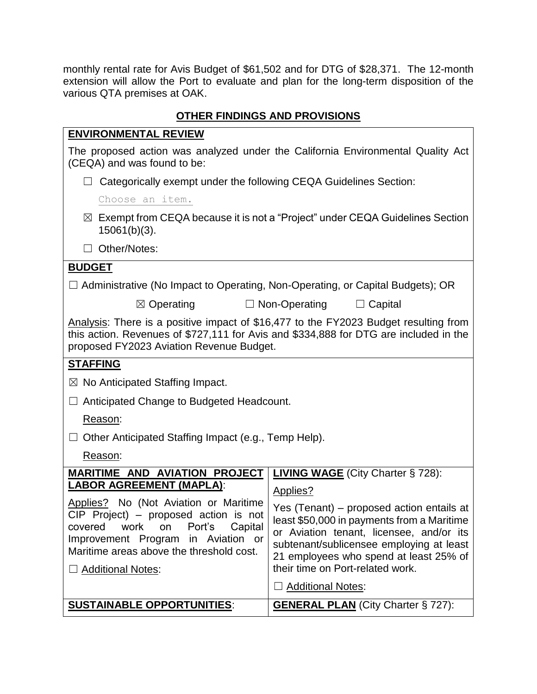monthly rental rate for Avis Budget of \$61,502 and for DTG of \$28,371. The 12-month extension will allow the Port to evaluate and plan for the long-term disposition of the various QTA premises at OAK.

## **OTHER FINDINGS AND PROVISIONS**

#### **ENVIRONMENTAL REVIEW**

The proposed action was analyzed under the California Environmental Quality Act (CEQA) and was found to be:

□ Categorically exempt under the following CEQA Guidelines Section:

Choose an item.

☒ Exempt from CEQA because it is not a "Project" under CEQA Guidelines Section 15061(b)(3).

☐ Other/Notes:

### **BUDGET**

| $\Box$ Administrative (No Impact to Operating, Non-Operating, or Capital Budgets); OR |  |  |  |  |  |  |
|---------------------------------------------------------------------------------------|--|--|--|--|--|--|
|---------------------------------------------------------------------------------------|--|--|--|--|--|--|

☒ Operating ☐ Non-Operating ☐ Capital

Analysis: There is a positive impact of \$16,477 to the FY2023 Budget resulting from this action. Revenues of \$727,111 for Avis and \$334,888 for DTG are included in the proposed FY2023 Aviation Revenue Budget.

### **STAFFING**

 $\boxtimes$  No Anticipated Staffing Impact.

☐ Anticipated Change to Budgeted Headcount.

### Reason:

 $\Box$  Other Anticipated Staffing Impact (e.g., Temp Help).

#### Reason:

| <b>MARITIME AND AVIATION PROJECT</b>                                                                                                                                                                                                                                | <b>LIVING WAGE</b> (City Charter § 728):                                                                                                                                                                                                                                  |  |
|---------------------------------------------------------------------------------------------------------------------------------------------------------------------------------------------------------------------------------------------------------------------|---------------------------------------------------------------------------------------------------------------------------------------------------------------------------------------------------------------------------------------------------------------------------|--|
| <b>LABOR AGREEMENT (MAPLA):</b><br>Applies? No (Not Aviation or Maritime<br>$CIP$ Project) – proposed action is not<br>covered work on Port's Capital<br>Improvement Program in Aviation or<br>Maritime areas above the threshold cost.<br>$\Box$ Additional Notes: | Applies?<br>Yes (Tenant) – proposed action entails at<br>least \$50,000 in payments from a Maritime<br>or Aviation tenant, licensee, and/or its<br>subtenant/sublicensee employing at least<br>21 employees who spend at least 25% of<br>their time on Port-related work. |  |
|                                                                                                                                                                                                                                                                     | $\Box$ Additional Notes:                                                                                                                                                                                                                                                  |  |
| <b>SUSTAINABLE OPPORTUNITIES:</b>                                                                                                                                                                                                                                   | <b>GENERAL PLAN (City Charter § 727):</b>                                                                                                                                                                                                                                 |  |